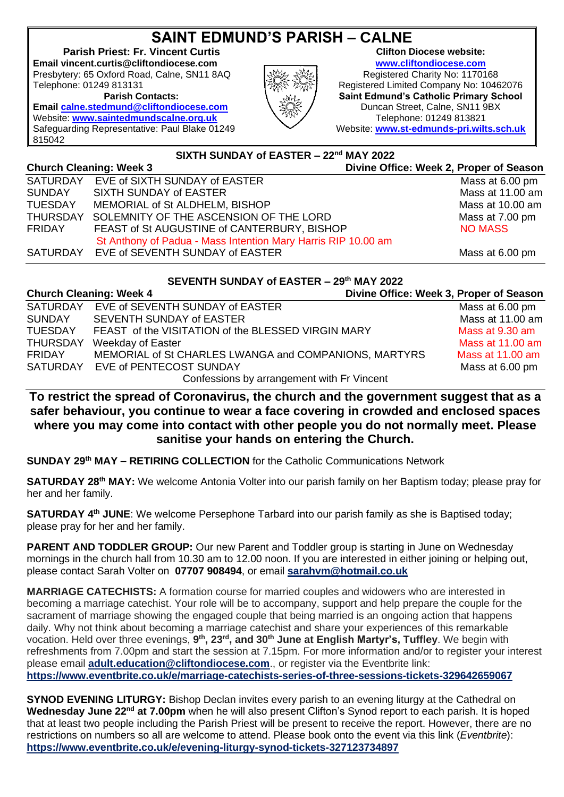## **SAINT EDMUND'S PARISH – CALNE**

**Parish Priest: Fr. Vincent Curtis Clifton Diocese website: Email vincent.curtis@cliftondiocese.com [www.cliftondiocese.com](http://www.cliftondiocese.com/)** Presbytery: 65 Oxford Road, Calne, SN11 8AQ  $\left|\frac{1}{2}\right|$  Registered Charity No: 1170168

Telephone: 01249 813131  $\frac{1}{2}$  Registered Limited Company No: 10462076

**Parish Contacts: Saint Edmund's Catholic Primary School Email [calne.stedmund@cliftondiocese.com](mailto:calne.stedmund@cliftondiocese.com)**  $\qquad \qquad \cong \qquad$  Duncan Street, Calne, SN11 9BX Website: **[www.st-edmunds-pri.wilts.sch.uk](http://www.st-edmunds-pri.wilts.sch.uk/)**

Website: **[www.saintedmundscalne.org.uk](http://www.saintedmundscalne.org.uk/)**  $\frac{1}{2}$  Telephone: 01249 813821 Safeguarding Representative: Paul Blake 01249 815042

## **SIXTH SUNDAY of EASTER – 22nd MAY 2022**

| <b>Church Cleaning: Week 3</b> |                                                               | Divine Office: Week 2, Proper of Season |  |
|--------------------------------|---------------------------------------------------------------|-----------------------------------------|--|
|                                | SATURDAY EVE of SIXTH SUNDAY of EASTER                        | Mass at 6.00 pm                         |  |
| SUNDAY                         | SIXTH SUNDAY of EASTER                                        | Mass at 11.00 am                        |  |
| <b>TUESDAY</b>                 | MEMORIAL of St ALDHELM, BISHOP                                | Mass at 10.00 am                        |  |
| THURSDAY                       | SOLEMNITY OF THE ASCENSION OF THE LORD                        | Mass at 7.00 pm                         |  |
| FRIDAY                         | FEAST of St AUGUSTINE of CANTERBURY, BISHOP                   | <b>NO MASS</b>                          |  |
|                                | St Anthony of Padua - Mass Intention Mary Harris RIP 10.00 am |                                         |  |
| SATURDAY                       | EVE of SEVENTH SUNDAY of EASTER                               | Mass at 6.00 pm                         |  |
|                                |                                                               |                                         |  |

## **SEVENTH SUNDAY of EASTER – 29th MAY 2022 Church Cleaning: Week 4 Divine Office: Week 3, Proper of Season**

| Unurun Ulganing: Week 4         |                                                                                                   | Divine Office: Week 3, Proper of Season                                                                                                                   |  |
|---------------------------------|---------------------------------------------------------------------------------------------------|-----------------------------------------------------------------------------------------------------------------------------------------------------------|--|
|                                 |                                                                                                   | Mass at 6.00 pm                                                                                                                                           |  |
| <b>SEVENTH SUNDAY of EASTER</b> |                                                                                                   | Mass at 11.00 am                                                                                                                                          |  |
|                                 |                                                                                                   | Mass at 9.30 am                                                                                                                                           |  |
|                                 |                                                                                                   | Mass at $11.00$ am                                                                                                                                        |  |
|                                 |                                                                                                   | Mass at 11.00 am                                                                                                                                          |  |
|                                 |                                                                                                   | Mass at 6.00 pm                                                                                                                                           |  |
|                                 |                                                                                                   |                                                                                                                                                           |  |
|                                 | SATURDAY EVE of SEVENTH SUNDAY of EASTER<br>Weekday of Easter<br>SATURDAY EVE of PENTECOST SUNDAY | FEAST of the VISITATION of the BLESSED VIRGIN MARY<br>MEMORIAL of St CHARLES LWANGA and COMPANIONS, MARTYRS<br>Confessions by arrangement with Fr Vincent |  |

## **To restrict the spread of Coronavirus, the church and the government suggest that as a safer behaviour, you continue to wear a face covering in crowded and enclosed spaces where you may come into contact with other people you do not normally meet. Please sanitise your hands on entering the Church.**

**SUNDAY 29th MAY – RETIRING COLLECTION** for the Catholic Communications Network

**SATURDAY 28th MAY:** We welcome Antonia Volter into our parish family on her Baptism today; please pray for her and her family.

**SATURDAY 4<sup>th</sup> JUNE**: We welcome Persephone Tarbard into our parish family as she is Baptised today; please pray for her and her family.

**PARENT AND TODDLER GROUP:** Our new Parent and Toddler group is starting in June on Wednesday mornings in the church hall from 10.30 am to 12.00 noon. If you are interested in either joining or helping out, please contact Sarah Volter on **07707 908494**, or email **[sarahvm@hotmail.co.uk](mailto:sarahvm@hotmail.co.uk)**

**MARRIAGE CATECHISTS:** A formation course for married couples and widowers who are interested in becoming a marriage catechist. Your role will be to accompany, support and help prepare the couple for the sacrament of marriage showing the engaged couple that being married is an ongoing action that happens daily. Why not think about becoming a marriage catechist and share your experiences of this remarkable vocation. Held over three evenings, 9<sup>th</sup>, 23<sup>rd</sup>, and 30<sup>th</sup> June at English Martyr's, Tuffley. We begin with refreshments from 7.00pm and start the session at 7.15pm. For more information and/or to register your interest please email **[adult.education@cliftondiocese.com](mailto:adult.education@cliftondiocese.com)**., or register via the Eventbrite link: **[https://www.eventbrite.co.uk/e/marriage-catechists-series-of-three-sessions-tickets-329642659067](https://eur02.safelinks.protection.outlook.com/?url=https%3A%2F%2Fwww.eventbrite.co.uk%2Fe%2Fmarriage-catechists-series-of-three-sessions-tickets-329642659067&data=05%7C01%7Ccalne.stedmund%40cliftondiocese.com%7Ceb405fff56fb48e7cf3208da3348d644%7Cf10b8f13604e4fa29e1204a7fad22e94%7C0%7C0%7C637878685513531595%7CUnknown%7CTWFpbGZsb3d8eyJWIjoiMC4wLjAwMDAiLCJQIjoiV2luMzIiLCJBTiI6Ik1haWwiLCJXVCI6Mn0%3D%7C3000%7C%7C%7C&sdata=3YrBkJIHKO94Wl%2BpxJLDKHQzY9xg2fJetPstZy%2BqSWc%3D&reserved=0)**

**SYNOD EVENING LITURGY:** Bishop Declan invites every parish to an evening liturgy at the Cathedral on **Wednesday June 22nd at 7.00pm** when he will also present Clifton's Synod report to each parish. It is hoped that at least two people including the Parish Priest will be present to receive the report. However, there are no restrictions on numbers so all are welcome to attend. Please book onto the event via this link (*Eventbrite*): **[https://www.eventbrite.co.uk/e/evening-liturgy-synod-tickets-327123734897](https://eur02.safelinks.protection.outlook.com/?url=https%3A%2F%2Fwww.eventbrite.co.uk%2Fe%2Fevening-liturgy-synod-tickets-327123734897&data=05%7C01%7Cvincent.curtis%40cliftondiocese.com%7C0544ae0349ef40b424ac08da275a5770%7Cf10b8f13604e4fa29e1204a7fad22e94%7C0%7C0%7C637865566213704703%7CUnknown%7CTWFpbGZsb3d8eyJWIjoiMC4wLjAwMDAiLCJQIjoiV2luMzIiLCJBTiI6Ik1haWwiLCJXVCI6Mn0%3D%7C3000%7C%7C%7C&sdata=W6IgiEx5Z0vVsaSLIEagXQBAOFGQCvSyB5IGE4NGuNg%3D&reserved=0)**